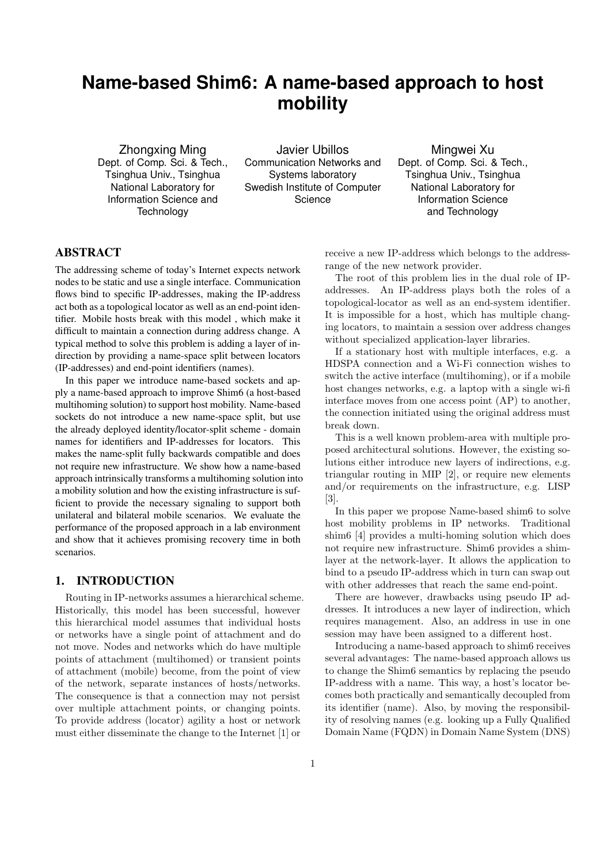# **Name-based Shim6: A name-based approach to host mobility**

Zhongxing Ming Dept. of Comp. Sci. & Tech., Tsinghua Univ., Tsinghua National Laboratory for Information Science and **Technology** 

Javier Ubillos Communication Networks and Systems laboratory Swedish Institute of Computer **Science** 

Mingwei Xu Dept. of Comp. Sci. & Tech., Tsinghua Univ., Tsinghua National Laboratory for Information Science and Technology

## ABSTRACT

The addressing scheme of today's Internet expects network nodes to be static and use a single interface. Communication flows bind to specific IP-addresses, making the IP-address act both as a topological locator as well as an end-point identifier. Mobile hosts break with this model , which make it difficult to maintain a connection during address change. A typical method to solve this problem is adding a layer of indirection by providing a name-space split between locators (IP-addresses) and end-point identifiers (names).

In this paper we introduce name-based sockets and apply a name-based approach to improve Shim6 (a host-based multihoming solution) to support host mobility. Name-based sockets do not introduce a new name-space split, but use the already deployed identity/locator-split scheme - domain names for identifiers and IP-addresses for locators. This makes the name-split fully backwards compatible and does not require new infrastructure. We show how a name-based approach intrinsically transforms a multihoming solution into a mobility solution and how the existing infrastructure is sufficient to provide the necessary signaling to support both unilateral and bilateral mobile scenarios. We evaluate the performance of the proposed approach in a lab environment and show that it achieves promising recovery time in both scenarios.

### 1. INTRODUCTION

Routing in IP-networks assumes a hierarchical scheme. Historically, this model has been successful, however this hierarchical model assumes that individual hosts or networks have a single point of attachment and do not move. Nodes and networks which do have multiple points of attachment (multihomed) or transient points of attachment (mobile) become, from the point of view of the network, separate instances of hosts/networks. The consequence is that a connection may not persist over multiple attachment points, or changing points. To provide address (locator) agility a host or network must either disseminate the change to the Internet [1] or

receive a new IP-address which belongs to the addressrange of the new network provider.

The root of this problem lies in the dual role of IPaddresses. An IP-address plays both the roles of a topological-locator as well as an end-system identifier. It is impossible for a host, which has multiple changing locators, to maintain a session over address changes without specialized application-layer libraries.

If a stationary host with multiple interfaces, e.g. a HDSPA connection and a Wi-Fi connection wishes to switch the active interface (multihoming), or if a mobile host changes networks, e.g. a laptop with a single wi-fi interface moves from one access point (AP) to another, the connection initiated using the original address must break down.

This is a well known problem-area with multiple proposed architectural solutions. However, the existing solutions either introduce new layers of indirections, e.g. triangular routing in MIP [2], or require new elements and/or requirements on the infrastructure, e.g. LISP [3].

In this paper we propose Name-based shim6 to solve host mobility problems in IP networks. Traditional shim6 [4] provides a multi-homing solution which does not require new infrastructure. Shim6 provides a shimlayer at the network-layer. It allows the application to bind to a pseudo IP-address which in turn can swap out with other addresses that reach the same end-point.

There are however, drawbacks using pseudo IP addresses. It introduces a new layer of indirection, which requires management. Also, an address in use in one session may have been assigned to a different host.

Introducing a name-based approach to shim6 receives several advantages: The name-based approach allows us to change the Shim6 semantics by replacing the pseudo IP-address with a name. This way, a host's locator becomes both practically and semantically decoupled from its identifier (name). Also, by moving the responsibility of resolving names (e.g. looking up a Fully Qualified Domain Name (FQDN) in Domain Name System (DNS)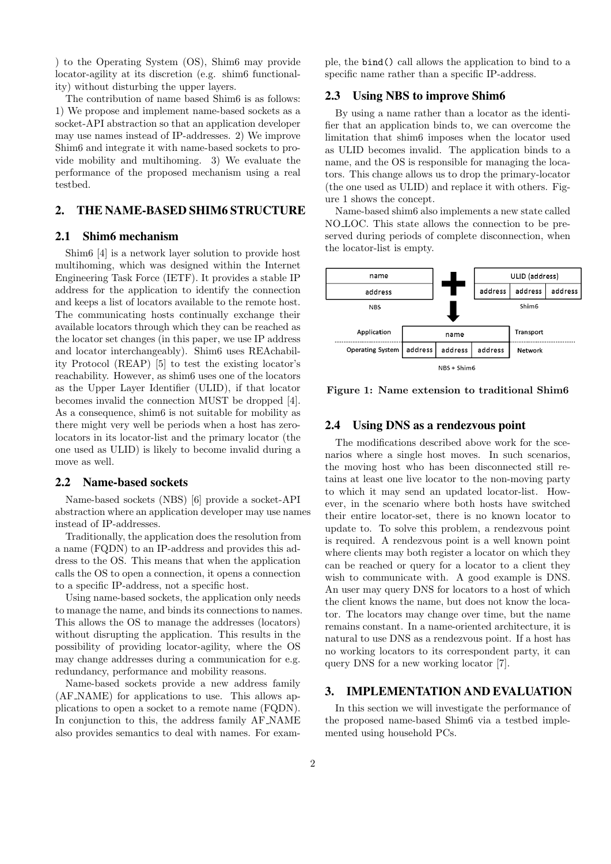) to the Operating System (OS), Shim6 may provide locator-agility at its discretion (e.g. shim6 functionality) without disturbing the upper layers.

The contribution of name based Shim6 is as follows: 1) We propose and implement name-based sockets as a socket-API abstraction so that an application developer may use names instead of IP-addresses. 2) We improve Shim6 and integrate it with name-based sockets to provide mobility and multihoming. 3) We evaluate the performance of the proposed mechanism using a real testbed.

## 2. THE NAME-BASED SHIM6 STRUCTURE

#### 2.1 Shim6 mechanism

Shim6 [4] is a network layer solution to provide host multihoming, which was designed within the Internet Engineering Task Force (IETF). It provides a stable IP address for the application to identify the connection and keeps a list of locators available to the remote host. The communicating hosts continually exchange their available locators through which they can be reached as the locator set changes (in this paper, we use IP address and locator interchangeably). Shim6 uses REAchability Protocol (REAP) [5] to test the existing locator's reachability. However, as shim6 uses one of the locators as the Upper Layer Identifier (ULID), if that locator becomes invalid the connection MUST be dropped [4]. As a consequence, shim6 is not suitable for mobility as there might very well be periods when a host has zerolocators in its locator-list and the primary locator (the one used as ULID) is likely to become invalid during a move as well.

#### 2.2 Name-based sockets

Name-based sockets (NBS) [6] provide a socket-API abstraction where an application developer may use names instead of IP-addresses.

Traditionally, the application does the resolution from a name (FQDN) to an IP-address and provides this address to the OS. This means that when the application calls the OS to open a connection, it opens a connection to a specific IP-address, not a specific host.

Using name-based sockets, the application only needs to manage the name, and binds its connections to names. This allows the OS to manage the addresses (locators) without disrupting the application. This results in the possibility of providing locator-agility, where the OS may change addresses during a communication for e.g. redundancy, performance and mobility reasons.

Name-based sockets provide a new address family (AF NAME) for applications to use. This allows applications to open a socket to a remote name (FQDN). In conjunction to this, the address family AF NAME also provides semantics to deal with names. For exam-

ple, the bind() call allows the application to bind to a specific name rather than a specific IP-address.

#### 2.3 Using NBS to improve Shim6

By using a name rather than a locator as the identifier that an application binds to, we can overcome the limitation that shim6 imposes when the locator used as ULID becomes invalid. The application binds to a name, and the OS is responsible for managing the locators. This change allows us to drop the primary-locator (the one used as ULID) and replace it with others. Figure 1 shows the concept.

Name-based shim6 also implements a new state called NO LOC. This state allows the connection to be preserved during periods of complete disconnection, when the locator-list is empty.



**Figure 1: Name extension to traditional Shim6**

#### 2.4 Using DNS as a rendezvous point

The modifications described above work for the scenarios where a single host moves. In such scenarios, the moving host who has been disconnected still retains at least one live locator to the non-moving party to which it may send an updated locator-list. However, in the scenario where both hosts have switched their entire locator-set, there is no known locator to update to. To solve this problem, a rendezvous point is required. A rendezvous point is a well known point where clients may both register a locator on which they can be reached or query for a locator to a client they wish to communicate with. A good example is DNS. An user may query DNS for locators to a host of which the client knows the name, but does not know the locator. The locators may change over time, but the name remains constant. In a name-oriented architecture, it is natural to use DNS as a rendezvous point. If a host has no working locators to its correspondent party, it can query DNS for a new working locator [7].

## 3. IMPLEMENTATION AND EVALUATION

In this section we will investigate the performance of the proposed name-based Shim6 via a testbed implemented using household PCs.